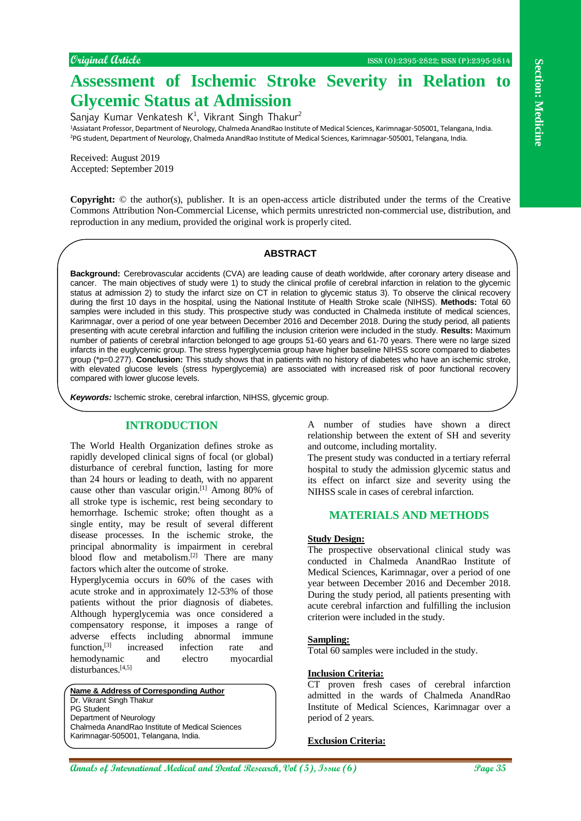# **Assessment of Ischemic Stroke Severity in Relation to Glycemic Status at Admission**

Sanjay Kumar Venkatesh K<sup>1</sup>, Vikrant Singh Thakur<sup>2</sup> <sup>1</sup>Assiatant Professor, Department of Neurology, Chalmeda AnandRao Institute of Medical Sciences, Karimnagar-505001, Telangana, India. <sup>2</sup>PG student, Department of Neurology, Chalmeda AnandRao Institute of Medical Sciences, Karimnagar-505001, Telangana, India.

Received: August 2019 Accepted: September 2019

**Copyright:** © the author(s), publisher. It is an open-access article distributed under the terms of the Creative Commons Attribution Non-Commercial License, which permits unrestricted non-commercial use, distribution, and reproduction in any medium, provided the original work is properly cited.

### **ABSTRACT**

**Annual method in the Construction of International Medical and The Construction of International Medical Annual Medical Annual Medical Annual Medical Annual Medical Annual Medical Annual Medical Annual Medical Annual Medi Background:** Cerebrovascular accidents (CVA) are leading cause of death worldwide, after coronary artery disease and cancer. The main objectives of study were 1) to study the clinical profile of cerebral infarction in relation to the glycemic status at admission 2) to study the infarct size on CT in relation to glycemic status 3). To observe the clinical recovery during the first 10 days in the hospital, using the National Institute of Health Stroke scale (NIHSS). **Methods:** Total 60 samples were included in this study. This prospective study was conducted in Chalmeda institute of medical sciences, Karimnagar, over a period of one year between December 2016 and December 2018. During the study period, all patients presenting with acute cerebral infarction and fulfilling the inclusion criterion were included in the study. **Results:** Maximum number of patients of cerebral infarction belonged to age groups 51-60 years and 61-70 years. There were no large sized infarcts in the euglycemic group. The stress hyperglycemia group have higher baseline NIHSS score compared to diabetes group (\*p=0.277). **Conclusion:** This study shows that in patients with no history of diabetes who have an ischemic stroke, with elevated glucose levels (stress hyperglycemia) are associated with increased risk of poor functional recovery compared with lower glucose levels.

*Keywords:* Ischemic stroke, cerebral infarction, NIHSS, glycemic group.

## **INTRODUCTION**

The World Health Organization defines stroke as rapidly developed clinical signs of focal (or global) disturbance of cerebral function, lasting for more than 24 hours or leading to death, with no apparent cause other than vascular origin.[1] Among 80% of all stroke type is ischemic, rest being secondary to hemorrhage. Ischemic stroke; often thought as a single entity, may be result of several different disease processes. In the ischemic stroke, the principal abnormality is impairment in cerebral blood flow and metabolism.<sup>[2]</sup> There are many factors which alter the outcome of stroke.

Hyperglycemia occurs in 60% of the cases with acute stroke and in approximately 12-53% of those patients without the prior diagnosis of diabetes. Although hyperglycemia was once considered a compensatory response, it imposes a range of adverse effects including abnormal immune function,<sup>[3]</sup> increased infection rate and hemodynamic and electro myocardial disturbances.<sup>[4,5]</sup>

**Name & Address of Corresponding Author** Dr. Vikrant Singh Thakur PG Student Department of Neurology Chalmeda AnandRao Institute of Medical Sciences Karimnagar-505001, Telangana, India.

A number of studies have shown a direct relationship between the extent of SH and severity and outcome, including mortality.

The present study was conducted in a tertiary referral hospital to study the admission glycemic status and its effect on infarct size and severity using the NIHSS scale in cases of cerebral infarction.

## **MATERIALS AND METHODS**

#### **Study Design:**

The prospective observational clinical study was conducted in Chalmeda AnandRao Institute of Medical Sciences, Karimnagar, over a period of one year between December 2016 and December 2018. During the study period, all patients presenting with acute cerebral infarction and fulfilling the inclusion criterion were included in the study.

#### **Sampling:**

Total 60 samples were included in the study.

#### **Inclusion Criteria:**

CT proven fresh cases of cerebral infarction admitted in the wards of Chalmeda AnandRao Institute of Medical Sciences, Karimnagar over a period of 2 years.

#### **Exclusion Criteria:**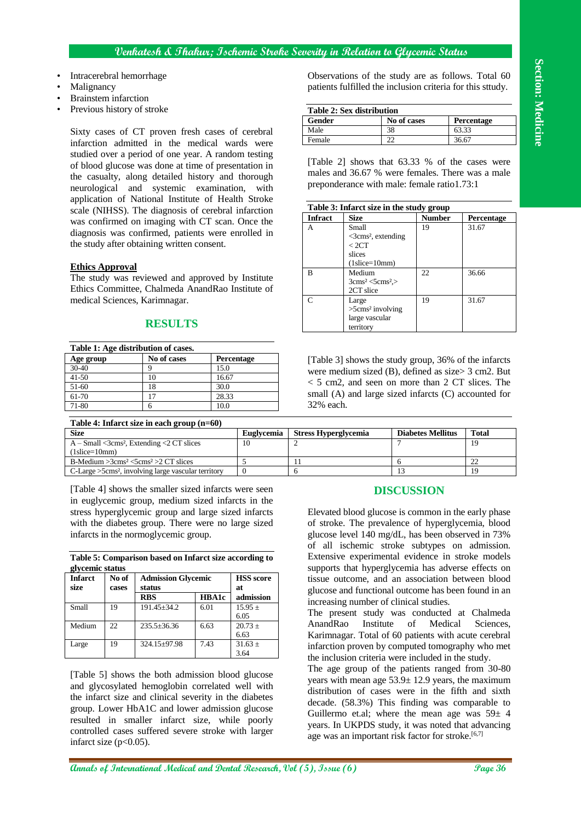### **Venkatesh & Thakur; Ischemic Stroke Severity in Relation to Glycemic Status**

- Intracerebral hemorrhage
- **Malignancy**
- Brainstem infarction
- Previous history of stroke

Sixty cases of CT proven fresh cases of cerebral infarction admitted in the medical wards were studied over a period of one year. A random testing of blood glucose was done at time of presentation in the casualty, along detailed history and thorough neurological and systemic examination, with application of National Institute of Health Stroke scale (NIHSS). The diagnosis of cerebral infarction was confirmed on imaging with CT scan. Once the diagnosis was confirmed, patients were enrolled in the study after obtaining written consent.

#### **Ethics Approval**

The study was reviewed and approved by Institute Ethics Committee, Chalmeda AnandRao Institute of medical Sciences, Karimnagar.

#### **RESULTS**

| Table 1: Age distribution of cases. |             |                   |  |  |  |
|-------------------------------------|-------------|-------------------|--|--|--|
| Age group                           | No of cases | <b>Percentage</b> |  |  |  |
| $30-40$                             |             | 15.0              |  |  |  |
| $41 - 50$                           | 10          | 16.67             |  |  |  |
| 51-60                               | 18          | 30.0              |  |  |  |
| $61-70$                             | 17          | 28.33             |  |  |  |
| 71-80                               |             | 10.0              |  |  |  |

Observations of the study are as follows. Total 60 patients fulfilled the inclusion criteria for this sttudy.

| <b>Table 2: Sex distribution</b> |             |            |  |  |  |
|----------------------------------|-------------|------------|--|--|--|
| Gender                           | No of cases | Percentage |  |  |  |
| Male                             | 38          | 63.33      |  |  |  |
| Female                           |             | 36.67      |  |  |  |

[Table 2] shows that 63.33 % of the cases were males and 36.67 % were females. There was a male preponderance with male: female ratio1.73:1

| Table 3: Infarct size in the study group |                                                                                                     |        |                   |  |  |
|------------------------------------------|-----------------------------------------------------------------------------------------------------|--------|-------------------|--|--|
| <b>Infract</b>                           | <b>Size</b>                                                                                         | Number | <b>Percentage</b> |  |  |
| А                                        | Small<br>$\leq$ 3cms <sup>2</sup> , extending<br>< 2CT<br>slices<br>$(1 \text{slice}=10 \text{mm})$ | 19     | 31.67             |  |  |
| R                                        | Medium<br>$3 \text{cms}^2 < 5 \text{cms}^2$<br>2CT slice                                            | 22.    | 36.66             |  |  |
|                                          | Large<br>$>5$ cms <sup>2</sup> involving<br>large vascular<br>territory                             | 19     | 31.67             |  |  |

[Table 3] shows the study group, 36% of the infarcts were medium sized (B), defined as size> 3 cm2. But < 5 cm2, and seen on more than 2 CT slices. The small (A) and large sized infarcts (C) accounted for 32% each.

| Table 4: Infarct size in each group $(n=60)$                      |                   |                             |                          |       |
|-------------------------------------------------------------------|-------------------|-----------------------------|--------------------------|-------|
| <b>Size</b>                                                       | <b>Euglycemia</b> | <b>Stress Hyperglycemia</b> | <b>Diabetes Mellitus</b> | Total |
| $A - Small <$ 3cms <sup>2</sup> , Extending $\triangle$ CT slices | 10                |                             |                          | 19    |
| $(1\text{slice}=10\text{mm})$                                     |                   |                             |                          |       |
| B-Medium $>3 \text{cms}^2 < 5 \text{cms}^2 > 2 \text{ CT slices}$ |                   |                             |                          |       |
| C-Large >5cms <sup>2</sup> , involving large vascular territory   |                   |                             |                          | 19    |

[Table 4] shows the smaller sized infarcts were seen in euglycemic group, medium sized infarcts in the stress hyperglycemic group and large sized infarcts with the diabetes group. There were no large sized infarcts in the normoglycemic group.

| Table 5: Comparison based on Infarct size according to |  |  |  |
|--------------------------------------------------------|--|--|--|
| glycemic status                                        |  |  |  |

| <b>Infarct</b><br>size | No of<br>cases | <b>Admission Glycemic</b><br>status | <b>HSS</b> score<br>at |                     |
|------------------------|----------------|-------------------------------------|------------------------|---------------------|
|                        |                | <b>RBS</b>                          | <b>HBA1c</b>           | admission           |
| Small                  | 19             | $191.45 + 34.2$                     | 6.01                   | $15.95 \pm$<br>6.05 |
| Medium                 | 22.            | $235.5 + 36.36$                     | 6.63                   | $20.73 +$<br>6.63   |
| Large                  | 19             | $324.15 + 97.98$                    | 7.43                   | $31.63 +$<br>3.64   |

[Table 5] shows the both admission blood glucose and glycosylated hemoglobin correlated well with the infarct size and clinical severity in the diabetes group. Lower HbA1C and lower admission glucose resulted in smaller infarct size, while poorly controlled cases suffered severe stroke with larger infarct size  $(p<0.05)$ .

#### **DISCUSSION**

Elevated blood glucose is common in the early phase of stroke. The prevalence of hyperglycemia, blood glucose level 140 mg/dL, has been observed in 73% of all ischemic stroke subtypes on admission. Extensive experimental evidence in stroke models supports that hyperglycemia has adverse effects on tissue outcome, and an association between blood glucose and functional outcome has been found in an increasing number of clinical studies.

The present study was conducted at Chalmeda AnandRao Institute of Medical Sciences, Karimnagar. Total of 60 patients with acute cerebral infarction proven by computed tomography who met the inclusion criteria were included in the study.

The age group of the patients ranged from 30-80 years with mean age  $53.9 \pm 12.9$  years, the maximum distribution of cases were in the fifth and sixth decade. (58.3%) This finding was comparable to Guillermo et.al; where the mean age was  $59\pm 4$ years. In UKPDS study, it was noted that advancing age was an important risk factor for stroke.<sup>[6,7]</sup>